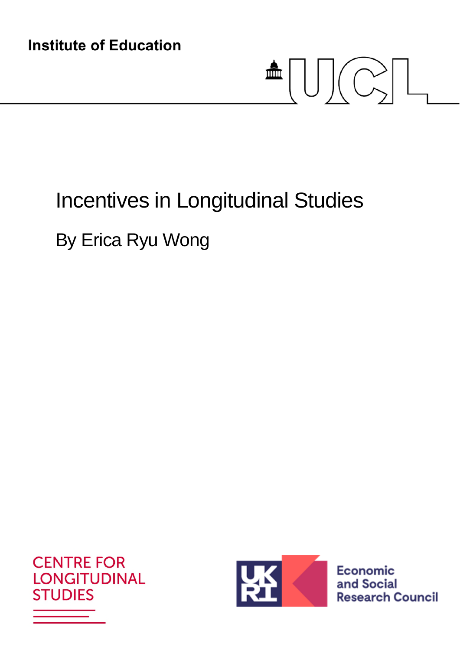# $\blacksquare \textcolor{red}{\textbf{U}} \textcolor{red}{\textbf{C}} \textcolor{red}{\textbf{-1}}$

# Incentives in Longitudinal Studies

## By Erica Ryu Wong





**Economic** and Social **Research Council**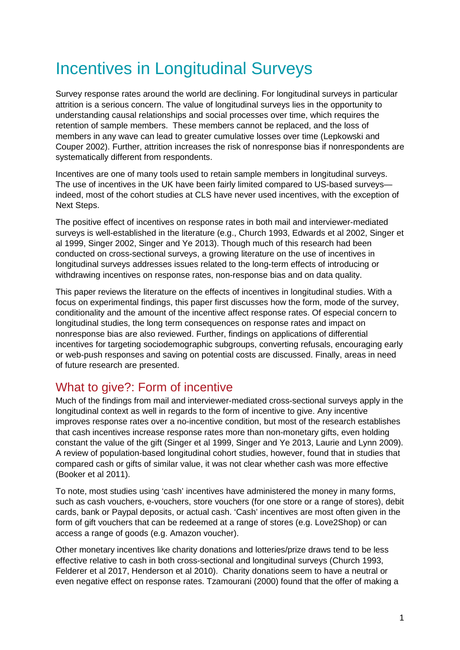## Incentives in Longitudinal Surveys

Survey response rates around the world are declining. For longitudinal surveys in particular attrition is a serious concern. The value of longitudinal surveys lies in the opportunity to understanding causal relationships and social processes over time, which requires the retention of sample members. These members cannot be replaced, and the loss of members in any wave can lead to greater cumulative losses over time (Lepkowski and Couper 2002). Further, attrition increases the risk of nonresponse bias if nonrespondents are systematically different from respondents.

Incentives are one of many tools used to retain sample members in longitudinal surveys. The use of incentives in the UK have been fairly limited compared to US-based surveys indeed, most of the cohort studies at CLS have never used incentives, with the exception of Next Steps.

The positive effect of incentives on response rates in both mail and interviewer-mediated surveys is well-established in the literature (e.g., Church 1993, Edwards et al 2002, Singer et al 1999, Singer 2002, Singer and Ye 2013). Though much of this research had been conducted on cross-sectional surveys, a growing literature on the use of incentives in longitudinal surveys addresses issues related to the long-term effects of introducing or withdrawing incentives on response rates, non-response bias and on data quality.

This paper reviews the literature on the effects of incentives in longitudinal studies. With a focus on experimental findings, this paper first discusses how the form, mode of the survey, conditionality and the amount of the incentive affect response rates. Of especial concern to longitudinal studies, the long term consequences on response rates and impact on nonresponse bias are also reviewed. Further, findings on applications of differential incentives for targeting sociodemographic subgroups, converting refusals, encouraging early or web-push responses and saving on potential costs are discussed. Finally, areas in need of future research are presented.

#### What to give?: Form of incentive

Much of the findings from mail and interviewer-mediated cross-sectional surveys apply in the longitudinal context as well in regards to the form of incentive to give. Any incentive improves response rates over a no-incentive condition, but most of the research establishes that cash incentives increase response rates more than non-monetary gifts, even holding constant the value of the gift (Singer et al 1999, Singer and Ye 2013, Laurie and Lynn 2009). A review of population-based longitudinal cohort studies, however, found that in studies that compared cash or gifts of similar value, it was not clear whether cash was more effective (Booker et al 2011).

To note, most studies using 'cash' incentives have administered the money in many forms, such as cash vouchers, e-vouchers, store vouchers (for one store or a range of stores), debit cards, bank or Paypal deposits, or actual cash. 'Cash' incentives are most often given in the form of gift vouchers that can be redeemed at a range of stores (e.g. Love2Shop) or can access a range of goods (e.g. Amazon voucher).

Other monetary incentives like charity donations and lotteries/prize draws tend to be less effective relative to cash in both cross-sectional and longitudinal surveys (Church 1993, Felderer et al 2017, Henderson et al 2010). Charity donations seem to have a neutral or even negative effect on response rates. Tzamourani (2000) found that the offer of making a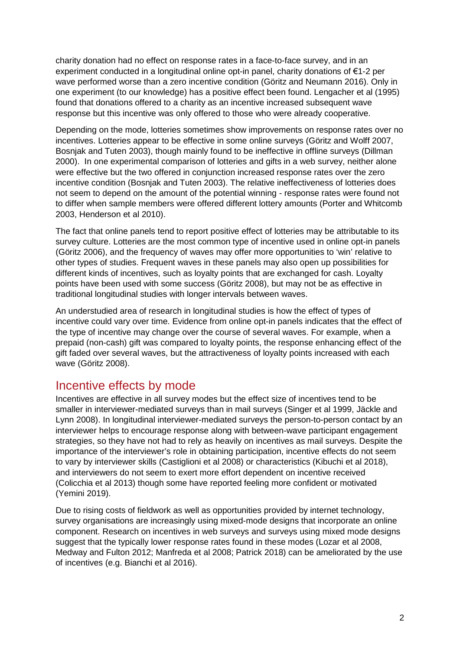charity donation had no effect on response rates in a face-to-face survey, and in an experiment conducted in a longitudinal online opt-in panel, charity donations of €1-2 per wave performed worse than a zero incentive condition (Göritz and Neumann 2016). Only in one experiment (to our knowledge) has a positive effect been found. Lengacher et al (1995) found that donations offered to a charity as an incentive increased subsequent wave response but this incentive was only offered to those who were already cooperative.

Depending on the mode, lotteries sometimes show improvements on response rates over no incentives. Lotteries appear to be effective in some online surveys (Göritz and Wolff 2007, Bosnjak and Tuten 2003), though mainly found to be ineffective in offline surveys (Dillman 2000). In one experimental comparison of lotteries and gifts in a web survey, neither alone were effective but the two offered in conjunction increased response rates over the zero incentive condition (Bosnjak and Tuten 2003). The relative ineffectiveness of lotteries does not seem to depend on the amount of the potential winning - response rates were found not to differ when sample members were offered different lottery amounts (Porter and Whitcomb 2003, Henderson et al 2010).

The fact that online panels tend to report positive effect of lotteries may be attributable to its survey culture. Lotteries are the most common type of incentive used in online opt-in panels (Göritz 2006), and the frequency of waves may offer more opportunities to 'win' relative to other types of studies. Frequent waves in these panels may also open up possibilities for different kinds of incentives, such as loyalty points that are exchanged for cash. Loyalty points have been used with some success (Göritz 2008), but may not be as effective in traditional longitudinal studies with longer intervals between waves.

An understudied area of research in longitudinal studies is how the effect of types of incentive could vary over time. Evidence from online opt-in panels indicates that the effect of the type of incentive may change over the course of several waves. For example, when a prepaid (non-cash) gift was compared to loyalty points, the response enhancing effect of the gift faded over several waves, but the attractiveness of loyalty points increased with each wave (Göritz 2008).

#### Incentive effects by mode

Incentives are effective in all survey modes but the effect size of incentives tend to be smaller in interviewer-mediated surveys than in mail surveys (Singer et al 1999, Jäckle and Lynn 2008). In longitudinal interviewer-mediated surveys the person-to-person contact by an interviewer helps to encourage response along with between-wave participant engagement strategies, so they have not had to rely as heavily on incentives as mail surveys. Despite the importance of the interviewer's role in obtaining participation, incentive effects do not seem to vary by interviewer skills (Castiglioni et al 2008) or characteristics (Kibuchi et al 2018), and interviewers do not seem to exert more effort dependent on incentive received (Colicchia et al 2013) though some have reported feeling more confident or motivated (Yemini 2019).

Due to rising costs of fieldwork as well as opportunities provided by internet technology, survey organisations are increasingly using mixed-mode designs that incorporate an online component. Research on incentives in web surveys and surveys using mixed mode designs suggest that the typically lower response rates found in these modes (Lozar et al 2008, Medway and Fulton 2012; Manfreda et al 2008; Patrick 2018) can be ameliorated by the use of incentives (e.g. Bianchi et al 2016).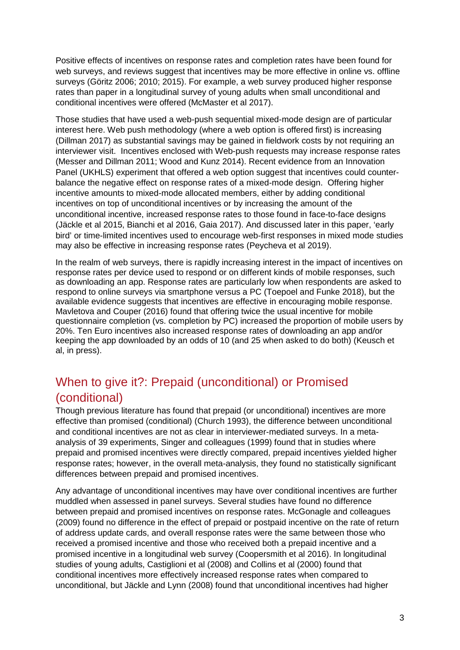Positive effects of incentives on response rates and completion rates have been found for web surveys, and reviews suggest that incentives may be more effective in online vs. offline surveys (Göritz 2006; 2010; 2015). For example, a web survey produced higher response rates than paper in a longitudinal survey of young adults when small unconditional and conditional incentives were offered (McMaster et al 2017).

Those studies that have used a web-push sequential mixed-mode design are of particular interest here. Web push methodology (where a web option is offered first) is increasing (Dillman 2017) as substantial savings may be gained in fieldwork costs by not requiring an interviewer visit. Incentives enclosed with Web-push requests may increase response rates (Messer and Dillman 2011; Wood and Kunz 2014). Recent evidence from an Innovation Panel (UKHLS) experiment that offered a web option suggest that incentives could counterbalance the negative effect on response rates of a mixed-mode design. Offering higher incentive amounts to mixed-mode allocated members, either by adding conditional incentives on top of unconditional incentives or by increasing the amount of the unconditional incentive, increased response rates to those found in face-to-face designs (Jäckle et al 2015, Bianchi et al 2016, Gaia 2017). And discussed later in this paper, 'early bird' or time-limited incentives used to encourage web-first responses in mixed mode studies may also be effective in increasing response rates (Peycheva et al 2019).

In the realm of web surveys, there is rapidly increasing interest in the impact of incentives on response rates per device used to respond or on different kinds of mobile responses, such as downloading an app. Response rates are particularly low when respondents are asked to respond to online surveys via smartphone versus a PC (Toepoel and Funke 2018), but the available evidence suggests that incentives are effective in encouraging mobile response. Mavletova and Couper (2016) found that offering twice the usual incentive for mobile questionnaire completion (vs. completion by PC) increased the proportion of mobile users by 20%. Ten Euro incentives also increased response rates of downloading an app and/or keeping the app downloaded by an odds of 10 (and 25 when asked to do both) (Keusch et al, in press).

#### When to give it?: Prepaid (unconditional) or Promised (conditional)

Though previous literature has found that prepaid (or unconditional) incentives are more effective than promised (conditional) (Church 1993), the difference between unconditional and conditional incentives are not as clear in interviewer-mediated surveys. In a metaanalysis of 39 experiments, Singer and colleagues (1999) found that in studies where prepaid and promised incentives were directly compared, prepaid incentives yielded higher response rates; however, in the overall meta-analysis, they found no statistically significant differences between prepaid and promised incentives.

Any advantage of unconditional incentives may have over conditional incentives are further muddled when assessed in panel surveys. Several studies have found no difference between prepaid and promised incentives on response rates. McGonagle and colleagues (2009) found no difference in the effect of prepaid or postpaid incentive on the rate of return of address update cards, and overall response rates were the same between those who received a promised incentive and those who received both a prepaid incentive and a promised incentive in a longitudinal web survey (Coopersmith et al 2016). In longitudinal studies of young adults, Castiglioni et al (2008) and Collins et al (2000) found that conditional incentives more effectively increased response rates when compared to unconditional, but Jäckle and Lynn (2008) found that unconditional incentives had higher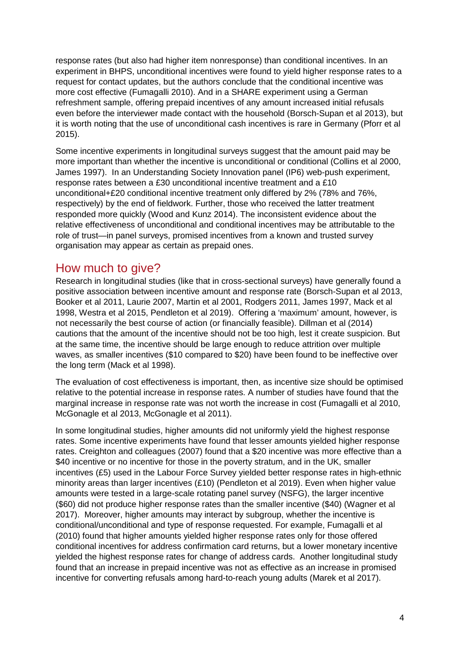response rates (but also had higher item nonresponse) than conditional incentives. In an experiment in BHPS, unconditional incentives were found to yield higher response rates to a request for contact updates, but the authors conclude that the conditional incentive was more cost effective (Fumagalli 2010). And in a SHARE experiment using a German refreshment sample, offering prepaid incentives of any amount increased initial refusals even before the interviewer made contact with the household (Borsch-Supan et al 2013), but it is worth noting that the use of unconditional cash incentives is rare in Germany (Pforr et al 2015).

Some incentive experiments in longitudinal surveys suggest that the amount paid may be more important than whether the incentive is unconditional or conditional (Collins et al 2000, James 1997). In an Understanding Society Innovation panel (IP6) web-push experiment, response rates between a £30 unconditional incentive treatment and a £10 unconditional+£20 conditional incentive treatment only differed by 2% (78% and 76%, respectively) by the end of fieldwork. Further, those who received the latter treatment responded more quickly (Wood and Kunz 2014). The inconsistent evidence about the relative effectiveness of unconditional and conditional incentives may be attributable to the role of trust—in panel surveys, promised incentives from a known and trusted survey organisation may appear as certain as prepaid ones.

#### How much to give?

Research in longitudinal studies (like that in cross-sectional surveys) have generally found a positive association between incentive amount and response rate (Borsch-Supan et al 2013, Booker et al 2011, Laurie 2007, Martin et al 2001, Rodgers 2011, James 1997, Mack et al 1998, Westra et al 2015, Pendleton et al 2019). Offering a 'maximum' amount, however, is not necessarily the best course of action (or financially feasible). Dillman et al (2014) cautions that the amount of the incentive should not be too high, lest it create suspicion. But at the same time, the incentive should be large enough to reduce attrition over multiple waves, as smaller incentives (\$10 compared to \$20) have been found to be ineffective over the long term (Mack et al 1998).

The evaluation of cost effectiveness is important, then, as incentive size should be optimised relative to the potential increase in response rates. A number of studies have found that the marginal increase in response rate was not worth the increase in cost (Fumagalli et al 2010, McGonagle et al 2013, McGonagle et al 2011).

In some longitudinal studies, higher amounts did not uniformly yield the highest response rates. Some incentive experiments have found that lesser amounts yielded higher response rates. Creighton and colleagues (2007) found that a \$20 incentive was more effective than a \$40 incentive or no incentive for those in the poverty stratum, and in the UK, smaller incentives (£5) used in the Labour Force Survey yielded better response rates in high-ethnic minority areas than larger incentives (£10) (Pendleton et al 2019). Even when higher value amounts were tested in a large-scale rotating panel survey (NSFG), the larger incentive (\$60) did not produce higher response rates than the smaller incentive (\$40) (Wagner et al 2017). Moreover, higher amounts may interact by subgroup, whether the incentive is conditional/unconditional and type of response requested. For example, Fumagalli et al (2010) found that higher amounts yielded higher response rates only for those offered conditional incentives for address confirmation card returns, but a lower monetary incentive yielded the highest response rates for change of address cards. Another longitudinal study found that an increase in prepaid incentive was not as effective as an increase in promised incentive for converting refusals among hard-to-reach young adults (Marek et al 2017).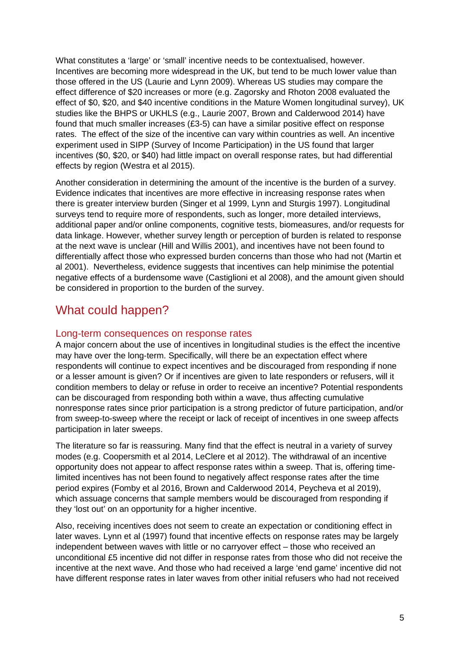What constitutes a 'large' or 'small' incentive needs to be contextualised, however. Incentives are becoming more widespread in the UK, but tend to be much lower value than those offered in the US (Laurie and Lynn 2009). Whereas US studies may compare the effect difference of \$20 increases or more (e.g. Zagorsky and Rhoton 2008 evaluated the effect of \$0, \$20, and \$40 incentive conditions in the Mature Women longitudinal survey), UK studies like the BHPS or UKHLS (e.g., Laurie 2007, Brown and Calderwood 2014) have found that much smaller increases (£3-5) can have a similar positive effect on response rates. The effect of the size of the incentive can vary within countries as well. An incentive experiment used in SIPP (Survey of Income Participation) in the US found that larger incentives (\$0, \$20, or \$40) had little impact on overall response rates, but had differential effects by region (Westra et al 2015).

Another consideration in determining the amount of the incentive is the burden of a survey. Evidence indicates that incentives are more effective in increasing response rates when there is greater interview burden (Singer et al 1999, Lynn and Sturgis 1997). Longitudinal surveys tend to require more of respondents, such as longer, more detailed interviews, additional paper and/or online components, cognitive tests, biomeasures, and/or requests for data linkage. However, whether survey length or perception of burden is related to response at the next wave is unclear (Hill and Willis 2001), and incentives have not been found to differentially affect those who expressed burden concerns than those who had not (Martin et al 2001). Nevertheless, evidence suggests that incentives can help minimise the potential negative effects of a burdensome wave (Castiglioni et al 2008), and the amount given should be considered in proportion to the burden of the survey.

#### What could happen?

#### Long-term consequences on response rates

A major concern about the use of incentives in longitudinal studies is the effect the incentive may have over the long-term. Specifically, will there be an expectation effect where respondents will continue to expect incentives and be discouraged from responding if none or a lesser amount is given? Or if incentives are given to late responders or refusers, will it condition members to delay or refuse in order to receive an incentive? Potential respondents can be discouraged from responding both within a wave, thus affecting cumulative nonresponse rates since prior participation is a strong predictor of future participation, and/or from sweep-to-sweep where the receipt or lack of receipt of incentives in one sweep affects participation in later sweeps.

The literature so far is reassuring. Many find that the effect is neutral in a variety of survey modes (e.g. Coopersmith et al 2014, LeClere et al 2012). The withdrawal of an incentive opportunity does not appear to affect response rates within a sweep. That is, offering timelimited incentives has not been found to negatively affect response rates after the time period expires (Fomby et al 2016, Brown and Calderwood 2014, Peycheva et al 2019), which assuage concerns that sample members would be discouraged from responding if they 'lost out' on an opportunity for a higher incentive.

Also, receiving incentives does not seem to create an expectation or conditioning effect in later waves. Lynn et al (1997) found that incentive effects on response rates may be largely independent between waves with little or no carryover effect – those who received an unconditional £5 incentive did not differ in response rates from those who did not receive the incentive at the next wave. And those who had received a large 'end game' incentive did not have different response rates in later waves from other initial refusers who had not received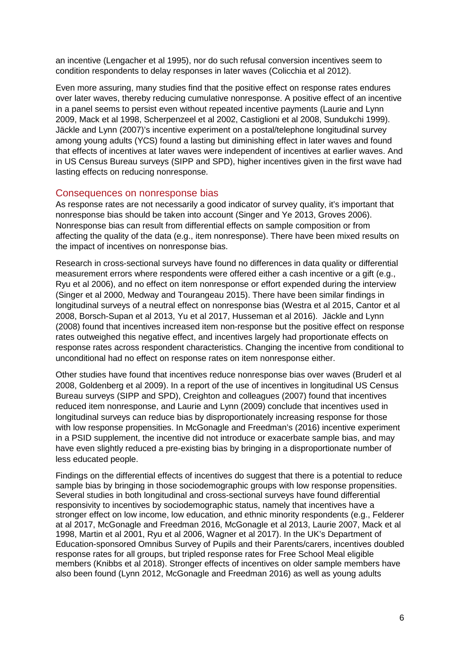an incentive (Lengacher et al 1995), nor do such refusal conversion incentives seem to condition respondents to delay responses in later waves (Colicchia et al 2012).

Even more assuring, many studies find that the positive effect on response rates endures over later waves, thereby reducing cumulative nonresponse. A positive effect of an incentive in a panel seems to persist even without repeated incentive payments (Laurie and Lynn 2009, Mack et al 1998, Scherpenzeel et al 2002, Castiglioni et al 2008, Sundukchi 1999). Jäckle and Lynn (2007)'s incentive experiment on a postal/telephone longitudinal survey among young adults (YCS) found a lasting but diminishing effect in later waves and found that effects of incentives at later waves were independent of incentives at earlier waves. And in US Census Bureau surveys (SIPP and SPD), higher incentives given in the first wave had lasting effects on reducing nonresponse.

#### Consequences on nonresponse bias

As response rates are not necessarily a good indicator of survey quality, it's important that nonresponse bias should be taken into account (Singer and Ye 2013, Groves 2006). Nonresponse bias can result from differential effects on sample composition or from affecting the quality of the data (e.g., item nonresponse). There have been mixed results on the impact of incentives on nonresponse bias.

Research in cross-sectional surveys have found no differences in data quality or differential measurement errors where respondents were offered either a cash incentive or a gift (e.g., Ryu et al 2006), and no effect on item nonresponse or effort expended during the interview (Singer et al 2000, Medway and Tourangeau 2015). There have been similar findings in longitudinal surveys of a neutral effect on nonresponse bias (Westra et al 2015, Cantor et al 2008, Borsch-Supan et al 2013, Yu et al 2017, Husseman et al 2016). Jäckle and Lynn (2008) found that incentives increased item non-response but the positive effect on response rates outweighed this negative effect, and incentives largely had proportionate effects on response rates across respondent characteristics. Changing the incentive from conditional to unconditional had no effect on response rates on item nonresponse either.

Other studies have found that incentives reduce nonresponse bias over waves (Bruderl et al 2008, Goldenberg et al 2009). In a report of the use of incentives in longitudinal US Census Bureau surveys (SIPP and SPD), Creighton and colleagues (2007) found that incentives reduced item nonresponse, and Laurie and Lynn (2009) conclude that incentives used in longitudinal surveys can reduce bias by disproportionately increasing response for those with low response propensities. In McGonagle and Freedman's (2016) incentive experiment in a PSID supplement, the incentive did not introduce or exacerbate sample bias, and may have even slightly reduced a pre-existing bias by bringing in a disproportionate number of less educated people.

Findings on the differential effects of incentives do suggest that there is a potential to reduce sample bias by bringing in those sociodemographic groups with low response propensities. Several studies in both longitudinal and cross-sectional surveys have found differential responsivity to incentives by sociodemographic status, namely that incentives have a stronger effect on low income, low education, and ethnic minority respondents (e.g., Felderer at al 2017, McGonagle and Freedman 2016, McGonagle et al 2013, Laurie 2007, Mack et al 1998, Martin et al 2001, Ryu et al 2006, Wagner et al 2017). In the UK's Department of Education-sponsored Omnibus Survey of Pupils and their Parents/carers, incentives doubled response rates for all groups, but tripled response rates for Free School Meal eligible members (Knibbs et al 2018). Stronger effects of incentives on older sample members have also been found (Lynn 2012, McGonagle and Freedman 2016) as well as young adults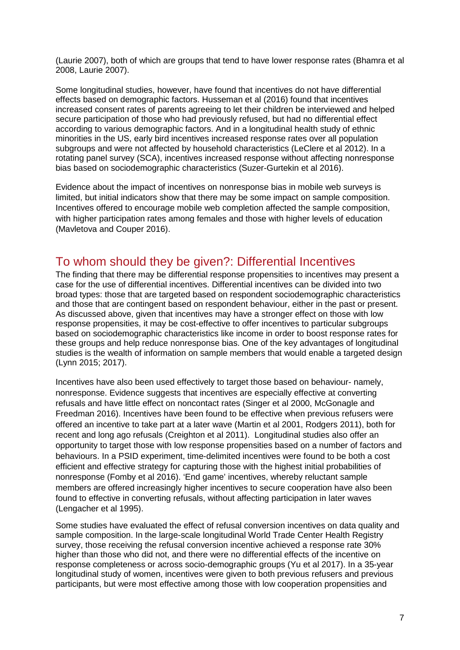(Laurie 2007), both of which are groups that tend to have lower response rates (Bhamra et al 2008, Laurie 2007).

Some longitudinal studies, however, have found that incentives do not have differential effects based on demographic factors. Husseman et al (2016) found that incentives increased consent rates of parents agreeing to let their children be interviewed and helped secure participation of those who had previously refused, but had no differential effect according to various demographic factors. And in a longitudinal health study of ethnic minorities in the US, early bird incentives increased response rates over all population subgroups and were not affected by household characteristics (LeClere et al 2012). In a rotating panel survey (SCA), incentives increased response without affecting nonresponse bias based on sociodemographic characteristics (Suzer-Gurtekin et al 2016).

Evidence about the impact of incentives on nonresponse bias in mobile web surveys is limited, but initial indicators show that there may be some impact on sample composition. Incentives offered to encourage mobile web completion affected the sample composition, with higher participation rates among females and those with higher levels of education (Mavletova and Couper 2016).

#### To whom should they be given?: Differential Incentives

The finding that there may be differential response propensities to incentives may present a case for the use of differential incentives. Differential incentives can be divided into two broad types: those that are targeted based on respondent sociodemographic characteristics and those that are contingent based on respondent behaviour, either in the past or present. As discussed above, given that incentives may have a stronger effect on those with low response propensities, it may be cost-effective to offer incentives to particular subgroups based on sociodemographic characteristics like income in order to boost response rates for these groups and help reduce nonresponse bias. One of the key advantages of longitudinal studies is the wealth of information on sample members that would enable a targeted design (Lynn 2015; 2017).

Incentives have also been used effectively to target those based on behaviour- namely, nonresponse. Evidence suggests that incentives are especially effective at converting refusals and have little effect on noncontact rates (Singer et al 2000, McGonagle and Freedman 2016). Incentives have been found to be effective when previous refusers were offered an incentive to take part at a later wave (Martin et al 2001, Rodgers 2011), both for recent and long ago refusals (Creighton et al 2011). Longitudinal studies also offer an opportunity to target those with low response propensities based on a number of factors and behaviours. In a PSID experiment, time-delimited incentives were found to be both a cost efficient and effective strategy for capturing those with the highest initial probabilities of nonresponse (Fomby et al 2016). 'End game' incentives, whereby reluctant sample members are offered increasingly higher incentives to secure cooperation have also been found to effective in converting refusals, without affecting participation in later waves (Lengacher et al 1995).

Some studies have evaluated the effect of refusal conversion incentives on data quality and sample composition. In the large-scale longitudinal World Trade Center Health Registry survey, those receiving the refusal conversion incentive achieved a response rate 30% higher than those who did not, and there were no differential effects of the incentive on response completeness or across socio-demographic groups (Yu et al 2017). In a 35-year longitudinal study of women, incentives were given to both previous refusers and previous participants, but were most effective among those with low cooperation propensities and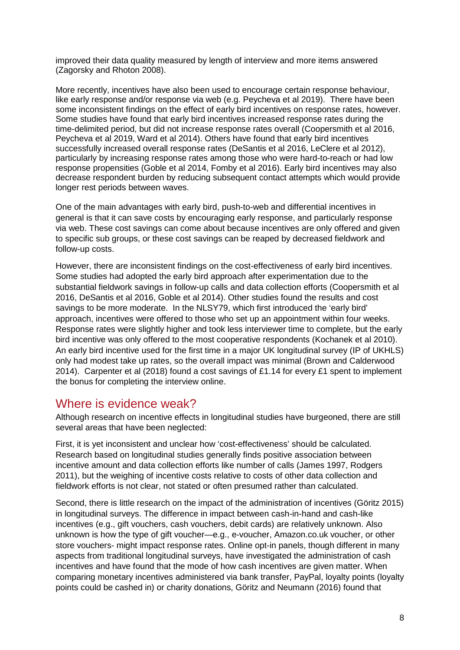improved their data quality measured by length of interview and more items answered (Zagorsky and Rhoton 2008).

More recently, incentives have also been used to encourage certain response behaviour, like early response and/or response via web (e.g. Peycheva et al 2019). There have been some inconsistent findings on the effect of early bird incentives on response rates, however. Some studies have found that early bird incentives increased response rates during the time-delimited period, but did not increase response rates overall (Coopersmith et al 2016, Peycheva et al 2019, Ward et al 2014). Others have found that early bird incentives successfully increased overall response rates (DeSantis et al 2016, LeClere et al 2012), particularly by increasing response rates among those who were hard-to-reach or had low response propensities (Goble et al 2014, Fomby et al 2016). Early bird incentives may also decrease respondent burden by reducing subsequent contact attempts which would provide longer rest periods between waves.

One of the main advantages with early bird, push-to-web and differential incentives in general is that it can save costs by encouraging early response, and particularly response via web. These cost savings can come about because incentives are only offered and given to specific sub groups, or these cost savings can be reaped by decreased fieldwork and follow-up costs.

However, there are inconsistent findings on the cost-effectiveness of early bird incentives. Some studies had adopted the early bird approach after experimentation due to the substantial fieldwork savings in follow-up calls and data collection efforts (Coopersmith et al 2016, DeSantis et al 2016, Goble et al 2014). Other studies found the results and cost savings to be more moderate. In the NLSY79, which first introduced the 'early bird' approach, incentives were offered to those who set up an appointment within four weeks. Response rates were slightly higher and took less interviewer time to complete, but the early bird incentive was only offered to the most cooperative respondents (Kochanek et al 2010). An early bird incentive used for the first time in a major UK longitudinal survey (IP of UKHLS) only had modest take up rates, so the overall impact was minimal (Brown and Calderwood 2014). Carpenter et al (2018) found a cost savings of £1.14 for every £1 spent to implement the bonus for completing the interview online.

#### Where is evidence weak?

Although research on incentive effects in longitudinal studies have burgeoned, there are still several areas that have been neglected:

First, it is yet inconsistent and unclear how 'cost-effectiveness' should be calculated. Research based on longitudinal studies generally finds positive association between incentive amount and data collection efforts like number of calls (James 1997, Rodgers 2011), but the weighing of incentive costs relative to costs of other data collection and fieldwork efforts is not clear, not stated or often presumed rather than calculated.

Second, there is little research on the impact of the administration of incentives (Göritz 2015) in longitudinal surveys. The difference in impact between cash-in-hand and cash-like incentives (e.g., gift vouchers, cash vouchers, debit cards) are relatively unknown. Also unknown is how the type of gift voucher—e.g., e-voucher, Amazon.co.uk voucher, or other store vouchers- might impact response rates. Online opt-in panels, though different in many aspects from traditional longitudinal surveys, have investigated the administration of cash incentives and have found that the mode of how cash incentives are given matter. When comparing monetary incentives administered via bank transfer, PayPal, loyalty points (loyalty points could be cashed in) or charity donations, Göritz and Neumann (2016) found that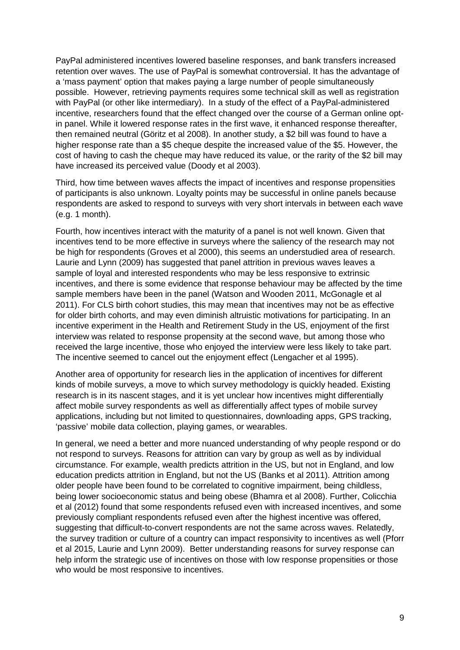PayPal administered incentives lowered baseline responses, and bank transfers increased retention over waves. The use of PayPal is somewhat controversial. It has the advantage of a 'mass payment' option that makes paying a large number of people simultaneously possible. However, retrieving payments requires some technical skill as well as registration with PayPal (or other like intermediary). In a study of the effect of a PayPal-administered incentive, researchers found that the effect changed over the course of a German online optin panel. While it lowered response rates in the first wave, it enhanced response thereafter, then remained neutral (Göritz et al 2008). In another study, a \$2 bill was found to have a higher response rate than a \$5 cheque despite the increased value of the \$5. However, the cost of having to cash the cheque may have reduced its value, or the rarity of the \$2 bill may have increased its perceived value (Doody et al 2003).

Third, how time between waves affects the impact of incentives and response propensities of participants is also unknown. Loyalty points may be successful in online panels because respondents are asked to respond to surveys with very short intervals in between each wave (e.g. 1 month).

Fourth, how incentives interact with the maturity of a panel is not well known. Given that incentives tend to be more effective in surveys where the saliency of the research may not be high for respondents (Groves et al 2000), this seems an understudied area of research. Laurie and Lynn (2009) has suggested that panel attrition in previous waves leaves a sample of loyal and interested respondents who may be less responsive to extrinsic incentives, and there is some evidence that response behaviour may be affected by the time sample members have been in the panel (Watson and Wooden 2011, McGonagle et al 2011). For CLS birth cohort studies, this may mean that incentives may not be as effective for older birth cohorts, and may even diminish altruistic motivations for participating. In an incentive experiment in the Health and Retirement Study in the US, enjoyment of the first interview was related to response propensity at the second wave, but among those who received the large incentive, those who enjoyed the interview were less likely to take part. The incentive seemed to cancel out the enjoyment effect (Lengacher et al 1995).

Another area of opportunity for research lies in the application of incentives for different kinds of mobile surveys, a move to which survey methodology is quickly headed. Existing research is in its nascent stages, and it is yet unclear how incentives might differentially affect mobile survey respondents as well as differentially affect types of mobile survey applications, including but not limited to questionnaires, downloading apps, GPS tracking, 'passive' mobile data collection, playing games, or wearables.

In general, we need a better and more nuanced understanding of why people respond or do not respond to surveys. Reasons for attrition can vary by group as well as by individual circumstance. For example, wealth predicts attrition in the US, but not in England, and low education predicts attrition in England, but not the US (Banks et al 2011). Attrition among older people have been found to be correlated to cognitive impairment, being childless, being lower socioeconomic status and being obese (Bhamra et al 2008). Further, Colicchia et al (2012) found that some respondents refused even with increased incentives, and some previously compliant respondents refused even after the highest incentive was offered, suggesting that difficult-to-convert respondents are not the same across waves. Relatedly, the survey tradition or culture of a country can impact responsivity to incentives as well (Pforr et al 2015, Laurie and Lynn 2009). Better understanding reasons for survey response can help inform the strategic use of incentives on those with low response propensities or those who would be most responsive to incentives.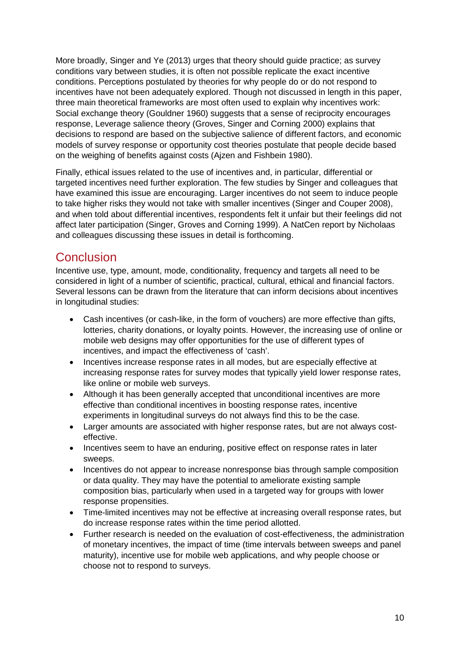More broadly, Singer and Ye (2013) urges that theory should guide practice; as survey conditions vary between studies, it is often not possible replicate the exact incentive conditions. Perceptions postulated by theories for why people do or do not respond to incentives have not been adequately explored. Though not discussed in length in this paper, three main theoretical frameworks are most often used to explain why incentives work: Social exchange theory (Gouldner 1960) suggests that a sense of reciprocity encourages response, Leverage salience theory (Groves, Singer and Corning 2000) explains that decisions to respond are based on the subjective salience of different factors, and economic models of survey response or opportunity cost theories postulate that people decide based on the weighing of benefits against costs (Ajzen and Fishbein 1980).

Finally, ethical issues related to the use of incentives and, in particular, differential or targeted incentives need further exploration. The few studies by Singer and colleagues that have examined this issue are encouraging. Larger incentives do not seem to induce people to take higher risks they would not take with smaller incentives (Singer and Couper 2008), and when told about differential incentives, respondents felt it unfair but their feelings did not affect later participation (Singer, Groves and Corning 1999). A NatCen report by Nicholaas and colleagues discussing these issues in detail is forthcoming.

#### **Conclusion**

Incentive use, type, amount, mode, conditionality, frequency and targets all need to be considered in light of a number of scientific, practical, cultural, ethical and financial factors. Several lessons can be drawn from the literature that can inform decisions about incentives in longitudinal studies:

- Cash incentives (or cash-like, in the form of vouchers) are more effective than gifts, lotteries, charity donations, or loyalty points. However, the increasing use of online or mobile web designs may offer opportunities for the use of different types of incentives, and impact the effectiveness of 'cash'.
- Incentives increase response rates in all modes, but are especially effective at increasing response rates for survey modes that typically yield lower response rates, like online or mobile web surveys.
- Although it has been generally accepted that unconditional incentives are more effective than conditional incentives in boosting response rates, incentive experiments in longitudinal surveys do not always find this to be the case.
- Larger amounts are associated with higher response rates, but are not always costeffective.
- Incentives seem to have an enduring, positive effect on response rates in later sweeps.
- Incentives do not appear to increase nonresponse bias through sample composition or data quality. They may have the potential to ameliorate existing sample composition bias, particularly when used in a targeted way for groups with lower response propensities.
- Time-limited incentives may not be effective at increasing overall response rates, but do increase response rates within the time period allotted.
- Further research is needed on the evaluation of cost-effectiveness, the administration of monetary incentives, the impact of time (time intervals between sweeps and panel maturity), incentive use for mobile web applications, and why people choose or choose not to respond to surveys.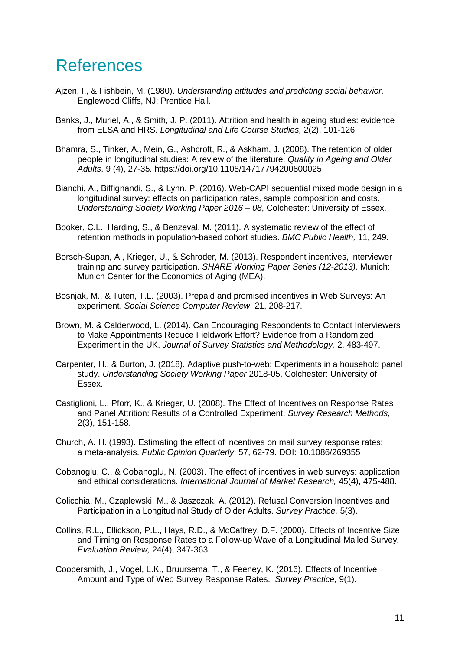### References

- Ajzen, I., & Fishbein, M. (1980). *Understanding attitudes and predicting social behavior.*  Englewood Cliffs, NJ: Prentice Hall.
- Banks, J., Muriel, A., & Smith, J. P. (2011). Attrition and health in ageing studies: evidence from ELSA and HRS. *Longitudinal and Life Course Studies,* 2(2), 101-126.
- Bhamra, S., Tinker, A., Mein, G., Ashcroft, R., & Askham, J. (2008). The retention of older people in longitudinal studies: A review of the literature. *Quality in Ageing and Older Adults*, 9 (4), 27-35. https://doi.org/10.1108/14717794200800025
- Bianchi, A., Biffignandi, S., & Lynn, P. (2016). Web-CAPI sequential mixed mode design in a longitudinal survey: effects on participation rates, sample composition and costs. *Understanding Society Working Paper 2016 – 08*, Colchester: University of Essex.
- Booker, C.L., Harding, S., & Benzeval, M. (2011). A systematic review of the effect of retention methods in population-based cohort studies. *BMC Public Health,* 11, 249.
- Borsch-Supan, A., Krieger, U., & Schroder, M. (2013). Respondent incentives, interviewer training and survey participation. *SHARE Working Paper Series (12-2013),* Munich: Munich Center for the Economics of Aging (MEA).
- Bosnjak, M., & Tuten, T.L. (2003). Prepaid and promised incentives in Web Surveys: An experiment. *Social Science Computer Review*, 21, 208-217.
- Brown, M. & Calderwood, L. (2014). Can Encouraging Respondents to Contact Interviewers to Make Appointments Reduce Fieldwork Effort? Evidence from a Randomized Experiment in the UK. *Journal of Survey Statistics and Methodology,* 2, 483-497.
- Carpenter, H., & Burton, J. (2018). Adaptive push-to-web: Experiments in a household panel study. *Understanding Society Working Paper* 2018-05, Colchester: University of Essex.
- Castiglioni, L., Pforr, K., & Krieger, U. (2008). The Effect of Incentives on Response Rates and Panel Attrition: Results of a Controlled Experiment. *Survey Research Methods,*  2(3), 151-158.
- Church, A. H. (1993). Estimating the effect of incentives on mail survey response rates: a meta-analysis. *Public Opinion Quarterly*, 57, 62-79. DOI: 10.1086/269355
- Cobanoglu, C., & Cobanoglu, N. (2003). The effect of incentives in web surveys: application and ethical considerations. *International Journal of Market Research,* 45(4), 475-488.
- Colicchia, M., Czaplewski, M., & Jaszczak, A. (2012). Refusal Conversion Incentives and Participation in a Longitudinal Study of Older Adults. *Survey Practice,* 5(3).
- Collins, R.L., Ellickson, P.L., Hays, R.D., & McCaffrey, D.F. (2000). Effects of Incentive Size and Timing on Response Rates to a Follow-up Wave of a Longitudinal Mailed Survey*. Evaluation Review,* 24(4), 347-363.
- Coopersmith, J., Vogel, L.K., Bruursema, T., & Feeney, K. (2016). Effects of Incentive Amount and Type of Web Survey Response Rates. *Survey Practice,* 9(1).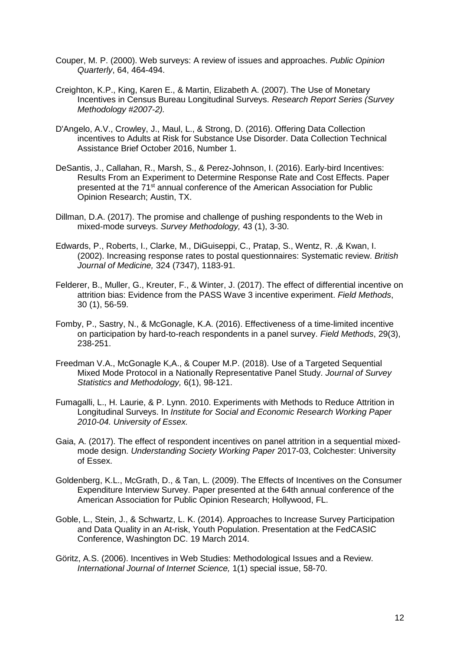- Couper, M. P. (2000). Web surveys: A review of issues and approaches. *Public Opinion Quarterly*, 64, 464-494.
- Creighton, K.P., King, Karen E., & Martin, Elizabeth A. (2007). The Use of Monetary Incentives in Census Bureau Longitudinal Surveys. *Research Report Series (Survey Methodology #2007-2).*
- D'Angelo, A.V., Crowley, J., Maul, L., & Strong, D. (2016). Offering Data Collection incentives to Adults at Risk for Substance Use Disorder. Data Collection Technical Assistance Brief October 2016, Number 1.
- DeSantis, J., Callahan, R., Marsh, S., & Perez-Johnson, I. (2016). Early-bird Incentives: Results From an Experiment to Determine Response Rate and Cost Effects. Paper presented at the 71st annual conference of the American Association for Public Opinion Research; Austin, TX.
- Dillman, D.A. (2017). The promise and challenge of pushing respondents to the Web in mixed-mode surveys. *Survey Methodology,* 43 (1), 3-30.
- Edwards, P., Roberts, I., Clarke, M., DiGuiseppi, C., Pratap, S., Wentz, R. ,& Kwan, I. (2002). Increasing response rates to postal questionnaires: Systematic review. *British Journal of Medicine,* 324 (7347), 1183-91.
- Felderer, B., Muller, G., Kreuter, F., & Winter, J. (2017). The effect of differential incentive on attrition bias: Evidence from the PASS Wave 3 incentive experiment. *Field Methods*, 30 (1), 56-59.
- Fomby, P., Sastry, N., & McGonagle, K.A. (2016). Effectiveness of a time-limited incentive on participation by hard-to-reach respondents in a panel survey. *Field Methods*, 29(3), 238-251.
- Freedman V.A., McGonagle K,A., & Couper M.P. (2018). Use of a Targeted Sequential Mixed Mode Protocol in a Nationally Representative Panel Study. *Journal of Survey Statistics and Methodology,* 6(1), 98-121.
- Fumagalli, L., H. Laurie, & P. Lynn. 2010. Experiments with Methods to Reduce Attrition in Longitudinal Surveys. In *Institute for Social and Economic Research Working Paper 2010-04. University of Essex.*
- Gaia, A. (2017). The effect of respondent incentives on panel attrition in a sequential mixedmode design. *Understanding Society Working Paper* 2017-03, Colchester: University of Essex.
- Goldenberg, K.L., McGrath, D., & Tan, L. (2009). The Effects of Incentives on the Consumer Expenditure Interview Survey. Paper presented at the 64th annual conference of the American Association for Public Opinion Research; Hollywood, FL.
- Goble, L., Stein, J., & Schwartz, L. K. (2014). Approaches to Increase Survey Participation and Data Quality in an At-risk, Youth Population. Presentation at the FedCASIC Conference, Washington DC. 19 March 2014.
- Göritz, A.S. (2006). Incentives in Web Studies: Methodological Issues and a Review. *International Journal of Internet Science,* 1(1) special issue, 58-70.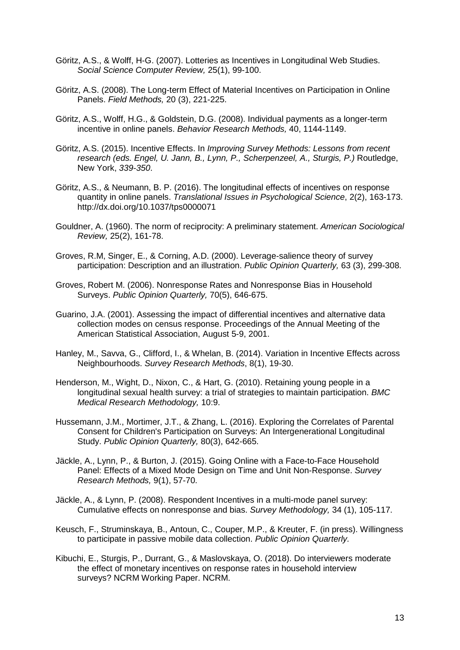- Göritz, A.S., & Wolff, H-G. (2007). Lotteries as Incentives in Longitudinal Web Studies. *Social Science Computer Review,* 25(1), 99-100.
- Göritz, A.S. (2008). The Long-term Effect of Material Incentives on Participation in Online Panels. *Field Methods,* 20 (3), 221-225.
- Göritz, A.S., Wolff, H.G., & Goldstein, D.G. (2008). Individual payments as a longer-term incentive in online panels. *Behavior Research Methods,* 40, 1144-1149.
- Göritz, A.S. (2015). Incentive Effects. In *Improving Survey Methods: Lessons from recent research (eds. Engel, U. Jann, B., Lynn, P., Scherpenzeel, A., Sturgis, P.)* Routledge, New York, *339-350*.
- Göritz, A.S., & Neumann, B. P. (2016). The longitudinal effects of incentives on response quantity in online panels. *Translational Issues in Psychological Science*, 2(2), 163-173. http://dx.doi.org/10.1037/tps0000071
- Gouldner, A. (1960). The norm of reciprocity: A preliminary statement. *American Sociological Review,* 25(2), 161-78.
- Groves, R.M, Singer, E., & Corning, A.D. (2000). Leverage-salience theory of survey participation: Description and an illustration. *Public Opinion Quarterly,* 63 (3), 299-308.
- Groves, Robert M. (2006). Nonresponse Rates and Nonresponse Bias in Household Surveys. *Public Opinion Quarterly,* 70(5), 646-675.
- Guarino, J.A. (2001). Assessing the impact of differential incentives and alternative data collection modes on census response. Proceedings of the Annual Meeting of the American Statistical Association, August 5-9, 2001.
- Hanley, M., Savva, G., Clifford, I., & Whelan, B. (2014). Variation in Incentive Effects across Neighbourhoods. *Survey Research Methods*, 8(1), 19-30.
- Henderson, M., Wight, D., Nixon, C., & Hart, G. (2010). Retaining young people in a longitudinal sexual health survey: a trial of strategies to maintain participation. *BMC Medical Research Methodology,* 10:9.
- Hussemann, J.M., Mortimer, J.T., & Zhang, L. (2016). Exploring the Correlates of Parental Consent for Children's Participation on Surveys: An Intergenerational Longitudinal Study. *Public Opinion Quarterly,* 80(3), 642-665.
- Jäckle, A., Lynn, P., & Burton, J. (2015). Going Online with a Face-to-Face Household Panel: Effects of a Mixed Mode Design on Time and Unit Non-Response. *Survey Research Methods,* 9(1), 57-70.
- Jäckle, A., & Lynn, P. (2008). Respondent Incentives in a multi-mode panel survey: Cumulative effects on nonresponse and bias. *Survey Methodology,* 34 (1), 105-117.
- Keusch, F., Struminskaya, B., Antoun, C., Couper, M.P., & Kreuter, F. (in press). Willingness to participate in passive mobile data collection. *Public Opinion Quarterly.*
- Kibuchi, E., Sturgis, P., Durrant, G., & Maslovskaya, O. (2018). Do interviewers moderate the effect of monetary incentives on response rates in household interview surveys? NCRM Working Paper. NCRM.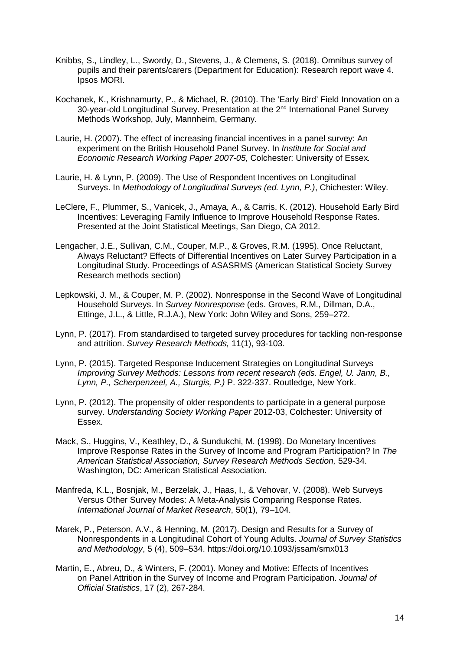- Knibbs, S., Lindley, L., Swordy, D., Stevens, J., & Clemens, S. (2018). Omnibus survey of pupils and their parents/carers (Department for Education): Research report wave 4. Ipsos MORI.
- Kochanek, K., Krishnamurty, P., & Michael, R. (2010). The 'Early Bird' Field Innovation on a 30-year-old Longitudinal Survey. Presentation at the 2<sup>nd</sup> International Panel Survey Methods Workshop, July, Mannheim, Germany.
- Laurie, H. (2007). The effect of increasing financial incentives in a panel survey: An experiment on the British Household Panel Survey. In *Institute for Social and Economic Research Working Paper 2007-05,* Colchester: University of Essex*.*
- Laurie, H. & Lynn, P. (2009). The Use of Respondent Incentives on Longitudinal Surveys. In *Methodology of Longitudinal Surveys (ed. Lynn, P.)*, Chichester: Wiley.
- LeClere, F., Plummer, S., Vanicek, J., Amaya, A., & Carris, K. (2012). Household Early Bird Incentives: Leveraging Family Influence to Improve Household Response Rates. Presented at the Joint Statistical Meetings, San Diego, CA 2012.
- Lengacher, J.E., Sullivan, C.M., Couper, M.P., & Groves, R.M. (1995). Once Reluctant, Always Reluctant? Effects of Differential Incentives on Later Survey Participation in a Longitudinal Study. Proceedings of ASASRMS (American Statistical Society Survey Research methods section)
- Lepkowski, J. M., & Couper, M. P. (2002). Nonresponse in the Second Wave of Longitudinal Household Surveys. In *Survey Nonresponse* (eds. Groves, R.M., Dillman, D.A., Ettinge, J.L., & Little, R.J.A.), New York: John Wiley and Sons, 259–272.
- Lynn, P. (2017). From standardised to targeted survey procedures for tackling non-response and attrition. *Survey Research Methods,* 11(1), 93-103.
- Lynn, P. (2015). Targeted Response Inducement Strategies on Longitudinal Surveys *Improving Survey Methods: Lessons from recent research (eds. Engel, U. Jann, B., Lynn, P., Scherpenzeel, A., Sturgis, P.)* P. 322-337. Routledge, New York.
- Lynn, P. (2012). The propensity of older respondents to participate in a general purpose survey. *Understanding Society Working Paper* 2012-03, Colchester: University of Essex.
- Mack, S., Huggins, V., Keathley, D., & Sundukchi, M. (1998). Do Monetary Incentives Improve Response Rates in the Survey of Income and Program Participation? In *The American Statistical Association, Survey Research Methods Section,* 529-34. Washington, DC: American Statistical Association.
- Manfreda, K.L., Bosnjak, M., Berzelak, J., Haas, I., & Vehovar, V. (2008). Web Surveys Versus Other Survey Modes: A Meta-Analysis Comparing Response Rates. *International Journal of Market Research*, 50(1), 79–104.
- Marek, P., Peterson, A.V., & Henning, M. (2017). Design and Results for a Survey of Nonrespondents in a Longitudinal Cohort of Young Adults. *Journal of Survey Statistics and Methodology*, 5 (4), 509–534. https://doi.org/10.1093/jssam/smx013
- Martin, E., Abreu, D., & Winters, F. (2001). Money and Motive: Effects of Incentives on Panel Attrition in the Survey of Income and Program Participation. *Journal of Official Statistics*, 17 (2), 267-284.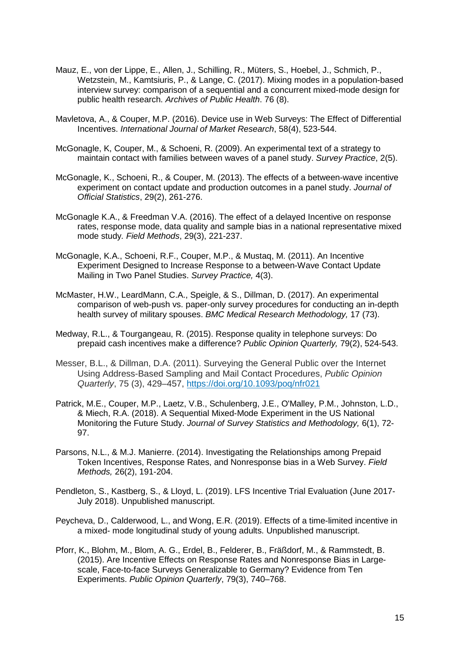- Mauz, E., von der Lippe, E., Allen, J., Schilling, R., Müters, S., Hoebel, J., Schmich, P., Wetzstein, M., Kamtsiuris, P., & Lange, C. (2017). Mixing modes in a population-based interview survey: comparison of a sequential and a concurrent mixed-mode design for public health research. *Archives of Public Health*. 76 (8).
- Mavletova, A., & Couper, M.P. (2016). Device use in Web Surveys: The Effect of Differential Incentives. *International Journal of Market Research*, 58(4), 523-544.
- McGonagle, K, Couper, M., & Schoeni, R. (2009). An experimental text of a strategy to maintain contact with families between waves of a panel study. *Survey Practice*, 2(5).
- McGonagle, K., Schoeni, R., & Couper, M. (2013). The effects of a between-wave incentive experiment on contact update and production outcomes in a panel study. *Journal of Official Statistics*, 29(2), 261-276.
- McGonagle K.A., & Freedman V.A. (2016). The effect of a delayed Incentive on response rates, response mode, data quality and sample bias in a national representative mixed mode study*. Field Methods*, 29(3), 221-237.
- McGonagle, K.A., Schoeni, R.F., Couper, M.P., & Mustaq, M. (2011). An Incentive Experiment Designed to Increase Response to a between-Wave Contact Update Mailing in Two Panel Studies. *Survey Practice,* 4(3).
- McMaster, H.W., LeardMann, C.A., Speigle, & S., Dillman, D. (2017). An experimental comparison of web-push vs. paper-only survey procedures for conducting an in-depth health survey of military spouses. *BMC Medical Research Methodology,* 17 (73).
- Medway, R.L., & Tourgangeau, R. (2015). Response quality in telephone surveys: Do prepaid cash incentives make a difference? *Public Opinion Quarterly,* 79(2), 524-543.
- Messer, B.L., & Dillman, D.A. (2011). Surveying the General Public over the Internet Using Address-Based Sampling and Mail Contact Procedures, *Public Opinion Quarterly*, 75 (3), 429–457, https://doi.org/10.1093/poq/nfr021
- Patrick, M.E., Couper, M.P., Laetz, V.B., Schulenberg, J.E., O'Malley, P.M., Johnston, L.D., & Miech, R.A. (2018). A Sequential Mixed-Mode Experiment in the US National Monitoring the Future Study. *Journal of Survey Statistics and Methodology,* 6(1), 72- 97.
- Parsons, N.L., & M.J. Manierre. (2014). Investigating the Relationships among Prepaid Token Incentives, Response Rates, and Nonresponse bias in a Web Survey. *Field Methods,* 26(2), 191-204.
- Pendleton, S., Kastberg, S., & Lloyd, L. (2019). LFS Incentive Trial Evaluation (June 2017- July 2018). Unpublished manuscript.
- Peycheva, D., Calderwood, L., and Wong, E.R. (2019). Effects of a time-limited incentive in a mixed- mode longitudinal study of young adults. Unpublished manuscript.
- Pforr, K., Blohm, M., Blom, A. G., Erdel, B., Felderer, B., Fräßdorf, M., & Rammstedt, B. (2015). Are Incentive Effects on Response Rates and Nonresponse Bias in Largescale, Face-to-face Surveys Generalizable to Germany? Evidence from Ten Experiments. *Public Opinion Quarterly*, 79(3), 740–768.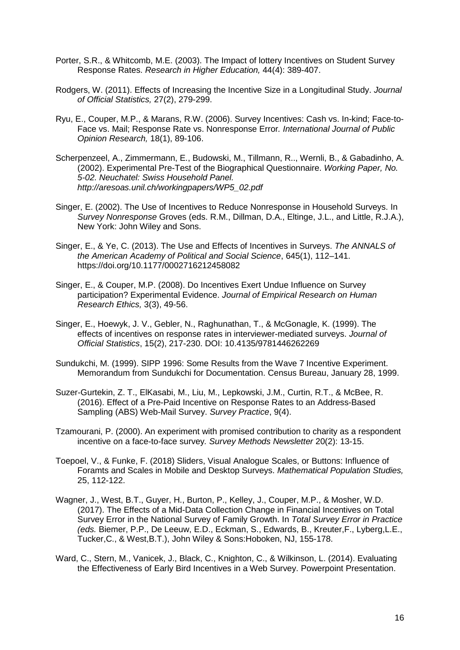- Porter, S.R., & Whitcomb, M.E. (2003). The Impact of lottery Incentives on Student Survey Response Rates. *Research in Higher Education,* 44(4): 389-407.
- Rodgers, W. (2011). Effects of Increasing the Incentive Size in a Longitudinal Study. *Journal of Official Statistics,* 27(2), 279-299.
- Ryu, E., Couper, M.P., & Marans, R.W. (2006). Survey Incentives: Cash vs. In-kind; Face-to-Face vs. Mail; Response Rate vs. Nonresponse Error*. International Journal of Public Opinion Research,* 18(1), 89-106.
- Scherpenzeel, A., Zimmermann, E., Budowski, M., Tillmann, R.., Wernli, B., & Gabadinho, A. (2002). Experimental Pre-Test of the Biographical Questionnaire. *Working Paper, No. 5-02. Neuchatel: Swiss Household Panel. http://aresoas.unil.ch/workingpapers/WP5\_02.pdf*
- Singer, E. (2002). The Use of Incentives to Reduce Nonresponse in Household Surveys. In *Survey Nonresponse* Groves (eds. R.M., Dillman, D.A., Eltinge, J.L., and Little, R.J.A.), New York: John Wiley and Sons.
- Singer, E., & Ye, C. (2013). The Use and Effects of Incentives in Surveys. *The ANNALS of the American Academy of Political and Social Science*, 645(1), 112–141. https://doi.org/10.1177/0002716212458082
- Singer, E., & Couper, M.P. (2008). Do Incentives Exert Undue Influence on Survey participation? Experimental Evidence. *Journal of Empirical Research on Human Research Ethics,* 3(3), 49-56.
- Singer, E., Hoewyk, J. V., Gebler, N., Raghunathan, T., & McGonagle, K. (1999). The effects of incentives on response rates in interviewer-mediated surveys. *Journal of Official Statistics*, 15(2), 217-230. DOI: 10.4135/9781446262269
- Sundukchi, M. (1999). SIPP 1996: Some Results from the Wave 7 Incentive Experiment. Memorandum from Sundukchi for Documentation. Census Bureau, January 28, 1999.
- Suzer-Gurtekin, Z. T., ElKasabi, M., Liu, M., Lepkowski, J.M., Curtin, R.T., & McBee, R. (2016). Effect of a Pre-Paid Incentive on Response Rates to an Address-Based Sampling (ABS) Web-Mail Survey. *Survey Practice*, 9(4).
- Tzamourani, P. (2000). An experiment with promised contribution to charity as a respondent incentive on a face-to-face survey*. Survey Methods Newsletter* 20(2): 13-15.
- Toepoel, V., & Funke, F. (2018) Sliders, Visual Analogue Scales, or Buttons: Influence of Foramts and Scales in Mobile and Desktop Surveys. *Mathematical Population Studies,*  25, 112-122.
- Wagner, J., West, B.T., Guyer, H., Burton, P., Kelley, J., Couper, M.P., & Mosher, W.D. (2017). The Effects of a Mid-Data Collection Change in Financial Incentives on Total Survey Error in the National Survey of Family Growth. In *Total Survey Error in Practice (eds.* Biemer, P.P., De Leeuw, E.D., Eckman, S., Edwards, B., Kreuter,F., Lyberg,L.E., Tucker,C., & West,B.T.), John Wiley & Sons:Hoboken, NJ, 155-178.
- Ward, C., Stern, M., Vanicek, J., Black, C., Knighton, C., & Wilkinson, L. (2014). Evaluating the Effectiveness of Early Bird Incentives in a Web Survey. Powerpoint Presentation.